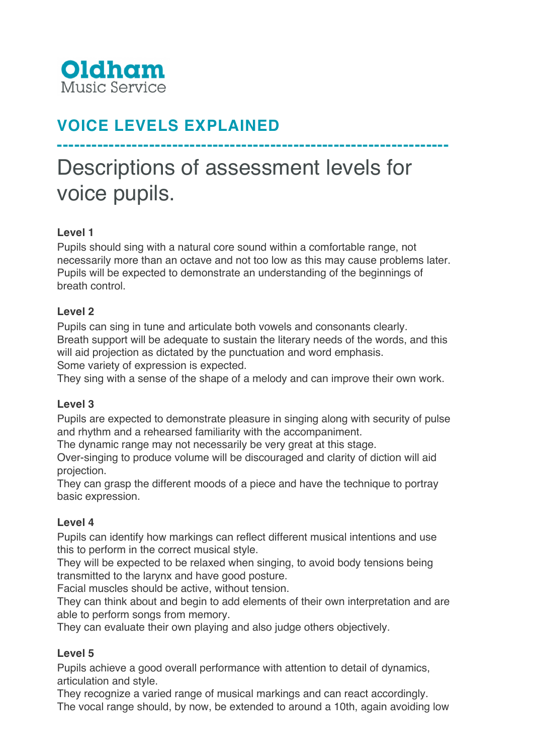

# **VOICE LEVELS EXPLAINED**

# Descriptions of assessment levels for voice pupils.

**--------------------------------------------------------------------**

### **Level 1**

Pupils should sing with a natural core sound within a comfortable range, not necessarily more than an octave and not too low as this may cause problems later. Pupils will be expected to demonstrate an understanding of the beginnings of breath control.

#### **Level 2**

Pupils can sing in tune and articulate both vowels and consonants clearly. Breath support will be adequate to sustain the literary needs of the words, and this will aid projection as dictated by the punctuation and word emphasis.

Some variety of expression is expected.

They sing with a sense of the shape of a melody and can improve their own work.

#### **Level 3**

Pupils are expected to demonstrate pleasure in singing along with security of pulse and rhythm and a rehearsed familiarity with the accompaniment.

The dynamic range may not necessarily be very great at this stage.

Over-singing to produce volume will be discouraged and clarity of diction will aid projection.

They can grasp the different moods of a piece and have the technique to portray basic expression.

#### **Level 4**

Pupils can identify how markings can reflect different musical intentions and use this to perform in the correct musical style.

They will be expected to be relaxed when singing, to avoid body tensions being transmitted to the larynx and have good posture.

Facial muscles should be active, without tension.

They can think about and begin to add elements of their own interpretation and are able to perform songs from memory.

They can evaluate their own playing and also judge others objectively.

#### **Level 5**

Pupils achieve a good overall performance with attention to detail of dynamics, articulation and style.

They recognize a varied range of musical markings and can react accordingly. The vocal range should, by now, be extended to around a 10th, again avoiding low